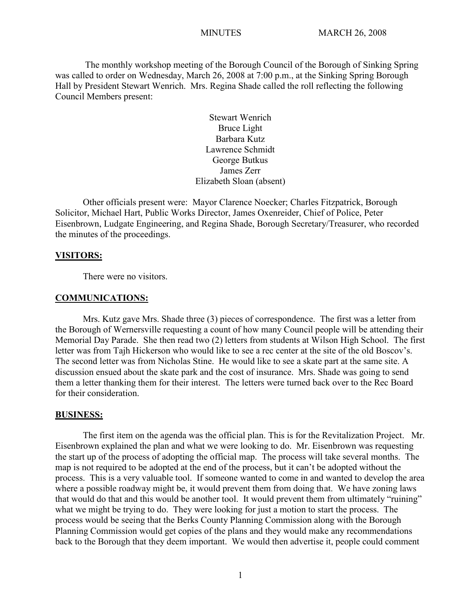The monthly workshop meeting of the Borough Council of the Borough of Sinking Spring was called to order on Wednesday, March 26, 2008 at 7:00 p.m., at the Sinking Spring Borough Hall by President Stewart Wenrich. Mrs. Regina Shade called the roll reflecting the following Council Members present:

> Stewart Wenrich Bruce Light Barbara Kutz Lawrence Schmidt George Butkus James Zerr Elizabeth Sloan (absent)

Other officials present were: Mayor Clarence Noecker; Charles Fitzpatrick, Borough Solicitor, Michael Hart, Public Works Director, James Oxenreider, Chief of Police, Peter Eisenbrown, Ludgate Engineering, and Regina Shade, Borough Secretary/Treasurer, who recorded the minutes of the proceedings.

### **VISITORS:**

There were no visitors.

#### **COMMUNICATIONS:**

Mrs. Kutz gave Mrs. Shade three (3) pieces of correspondence. The first was a letter from the Borough of Wernersville requesting a count of how many Council people will be attending their Memorial Day Parade. She then read two (2) letters from students at Wilson High School. The first letter was from Tajh Hickerson who would like to see a rec center at the site of the old Boscov's. The second letter was from Nicholas Stine. He would like to see a skate part at the same site. A discussion ensued about the skate park and the cost of insurance. Mrs. Shade was going to send them a letter thanking them for their interest. The letters were turned back over to the Rec Board for their consideration.

#### **BUSINESS:**

The first item on the agenda was the official plan. This is for the Revitalization Project. Mr. Eisenbrown explained the plan and what we were looking to do. Mr. Eisenbrown was requesting the start up of the process of adopting the official map. The process will take several months. The map is not required to be adopted at the end of the process, but it can't be adopted without the process. This is a very valuable tool. If someone wanted to come in and wanted to develop the area where a possible roadway might be, it would prevent them from doing that. We have zoning laws that would do that and this would be another tool. It would prevent them from ultimately "ruining" what we might be trying to do. They were looking for just a motion to start the process. The process would be seeing that the Berks County Planning Commission along with the Borough Planning Commission would get copies of the plans and they would make any recommendations back to the Borough that they deem important. We would then advertise it, people could comment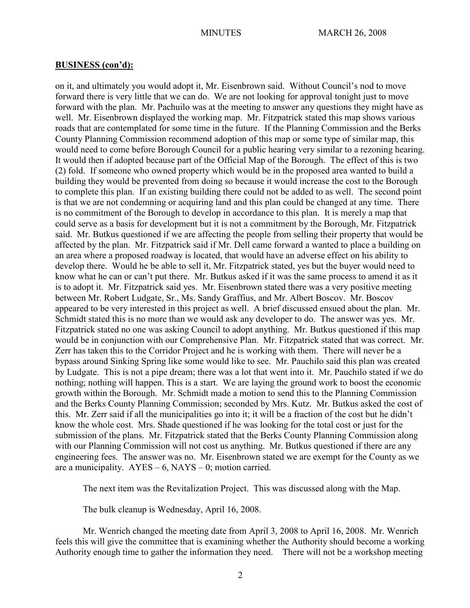on it, and ultimately you would adopt it, Mr. Eisenbrown said. Without Council's nod to move forward there is very little that we can do. We are not looking for approval tonight just to move forward with the plan. Mr. Pachuilo was at the meeting to answer any questions they might have as well. Mr. Eisenbrown displayed the working map. Mr. Fitzpatrick stated this map shows various roads that are contemplated for some time in the future. If the Planning Commission and the Berks County Planning Commission recommend adoption of this map or some type of similar map, this would need to come before Borough Council for a public hearing very similar to a rezoning hearing. It would then if adopted because part of the Official Map of the Borough. The effect of this is two (2) fold. If someone who owned property which would be in the proposed area wanted to build a building they would be prevented from doing so because it would increase the cost to the Borough to complete this plan. If an existing building there could not be added to as well. The second point is that we are not condemning or acquiring land and this plan could be changed at any time. There is no commitment of the Borough to develop in accordance to this plan. It is merely a map that could serve as a basis for development but it is not a commitment by the Borough, Mr. Fitzpatrick said. Mr. Butkus questioned if we are affecting the people from selling their property that would be affected by the plan. Mr. Fitzpatrick said if Mr. Dell came forward a wanted to place a building on an area where a proposed roadway is located, that would have an adverse effect on his ability to develop there. Would he be able to sell it, Mr. Fitzpatrick stated, yes but the buyer would need to know what he can or can't put there. Mr. Butkus asked if it was the same process to amend it as it is to adopt it. Mr. Fitzpatrick said yes. Mr. Eisenbrown stated there was a very positive meeting between Mr. Robert Ludgate, Sr., Ms. Sandy Graffius, and Mr. Albert Boscov. Mr. Boscov appeared to be very interested in this project as well. A brief discussed ensued about the plan. Mr. Schmidt stated this is no more than we would ask any developer to do. The answer was yes. Mr. Fitzpatrick stated no one was asking Council to adopt anything. Mr. Butkus questioned if this map would be in conjunction with our Comprehensive Plan. Mr. Fitzpatrick stated that was correct. Mr. Zerr has taken this to the Corridor Project and he is working with them. There will never be a bypass around Sinking Spring like some would like to see. Mr. Pauchilo said this plan was created by Ludgate. This is not a pipe dream; there was a lot that went into it. Mr. Pauchilo stated if we do nothing; nothing will happen. This is a start. We are laying the ground work to boost the economic growth within the Borough. Mr. Schmidt made a motion to send this to the Planning Commission and the Berks County Planning Commission; seconded by Mrs. Kutz. Mr. Butkus asked the cost of this. Mr. Zerr said if all the municipalities go into it; it will be a fraction of the cost but he didn't know the whole cost. Mrs. Shade questioned if he was looking for the total cost or just for the submission of the plans. Mr. Fitzpatrick stated that the Berks County Planning Commission along with our Planning Commission will not cost us anything. Mr. Butkus questioned if there are any engineering fees. The answer was no. Mr. Eisenbrown stated we are exempt for the County as we are a municipality.  $AYES - 6$ ,  $NAYS - 0$ ; motion carried.

The next item was the Revitalization Project. This was discussed along with the Map.

The bulk cleanup is Wednesday, April 16, 2008.

Mr. Wenrich changed the meeting date from April 3, 2008 to April 16, 2008. Mr. Wenrich feels this will give the committee that is examining whether the Authority should become a working Authority enough time to gather the information they need. There will not be a workshop meeting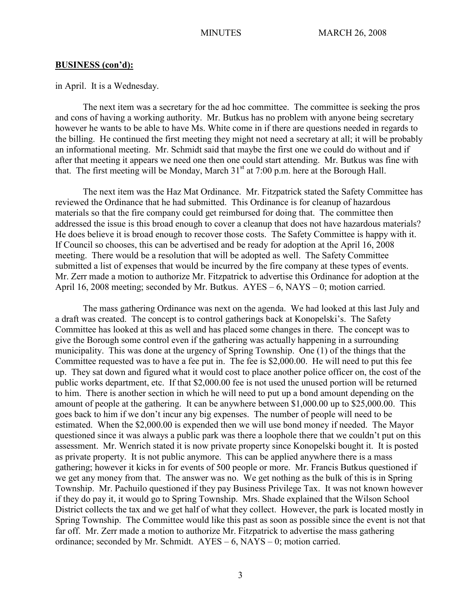in April. It is a Wednesday.

The next item was a secretary for the ad hoc committee. The committee is seeking the pros and cons of having a working authority. Mr. Butkus has no problem with anyone being secretary however he wants to be able to have Ms. White come in if there are questions needed in regards to the billing. He continued the first meeting they might not need a secretary at all; it will be probably an informational meeting. Mr. Schmidt said that maybe the first one we could do without and if after that meeting it appears we need one then one could start attending. Mr. Butkus was fine with that. The first meeting will be Monday, March  $31<sup>st</sup>$  at 7:00 p.m. here at the Borough Hall.

The next item was the Haz Mat Ordinance. Mr. Fitzpatrick stated the Safety Committee has reviewed the Ordinance that he had submitted. This Ordinance is for cleanup of hazardous materials so that the fire company could get reimbursed for doing that. The committee then addressed the issue is this broad enough to cover a cleanup that does not have hazardous materials? He does believe it is broad enough to recover those costs. The Safety Committee is happy with it. If Council so chooses, this can be advertised and be ready for adoption at the April 16, 2008 meeting. There would be a resolution that will be adopted as well. The Safety Committee submitted a list of expenses that would be incurred by the fire company at these types of events. Mr. Zerr made a motion to authorize Mr. Fitzpatrick to advertise this Ordinance for adoption at the April 16, 2008 meeting; seconded by Mr. Butkus. AYES – 6, NAYS – 0; motion carried.

The mass gathering Ordinance was next on the agenda. We had looked at this last July and a draft was created. The concept is to control gatherings back at Konopelski's. The Safety Committee has looked at this as well and has placed some changes in there. The concept was to give the Borough some control even if the gathering was actually happening in a surrounding municipality. This was done at the urgency of Spring Township. One (1) of the things that the Committee requested was to have a fee put in. The fee is \$2,000.00. He will need to put this fee up. They sat down and figured what it would cost to place another police officer on, the cost of the public works department, etc. If that \$2,000.00 fee is not used the unused portion will be returned to him. There is another section in which he will need to put up a bond amount depending on the amount of people at the gathering. It can be anywhere between \$1,000.00 up to \$25,000.00. This goes back to him if we don't incur any big expenses. The number of people will need to be estimated. When the \$2,000.00 is expended then we will use bond money if needed. The Mayor questioned since it was always a public park was there a loophole there that we couldn't put on this assessment. Mr. Wenrich stated it is now private property since Konopelski bought it. It is posted as private property. It is not public anymore. This can be applied anywhere there is a mass gathering; however it kicks in for events of 500 people or more. Mr. Francis Butkus questioned if we get any money from that. The answer was no. We get nothing as the bulk of this is in Spring Township. Mr. Pachuilo questioned if they pay Business Privilege Tax. It was not known however if they do pay it, it would go to Spring Township. Mrs. Shade explained that the Wilson School District collects the tax and we get half of what they collect. However, the park is located mostly in Spring Township. The Committee would like this past as soon as possible since the event is not that far off. Mr. Zerr made a motion to authorize Mr. Fitzpatrick to advertise the mass gathering ordinance; seconded by Mr. Schmidt. AYES – 6, NAYS – 0; motion carried.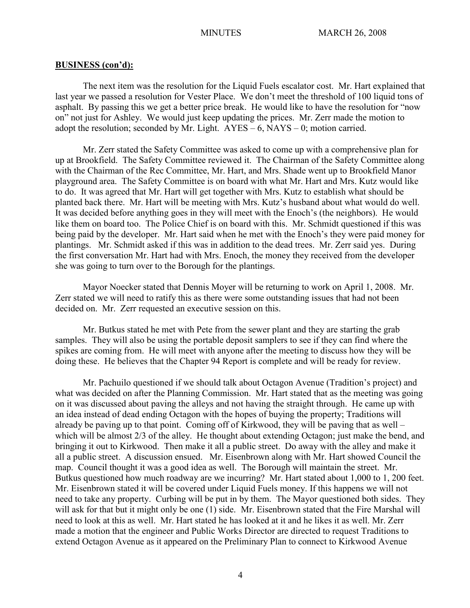The next item was the resolution for the Liquid Fuels escalator cost. Mr. Hart explained that last year we passed a resolution for Vester Place. We don't meet the threshold of 100 liquid tons of asphalt. By passing this we get a better price break. He would like to have the resolution for "now on" not just for Ashley. We would just keep updating the prices. Mr. Zerr made the motion to adopt the resolution; seconded by Mr. Light.  $AYES - 6$ ,  $NAYS - 0$ ; motion carried.

Mr. Zerr stated the Safety Committee was asked to come up with a comprehensive plan for up at Brookfield. The Safety Committee reviewed it. The Chairman of the Safety Committee along with the Chairman of the Rec Committee, Mr. Hart, and Mrs. Shade went up to Brookfield Manor playground area. The Safety Committee is on board with what Mr. Hart and Mrs. Kutz would like to do. It was agreed that Mr. Hart will get together with Mrs. Kutz to establish what should be planted back there. Mr. Hart will be meeting with Mrs. Kutz's husband about what would do well. It was decided before anything goes in they will meet with the Enoch's (the neighbors). He would like them on board too. The Police Chief is on board with this. Mr. Schmidt questioned if this was being paid by the developer. Mr. Hart said when he met with the Enoch's they were paid money for plantings. Mr. Schmidt asked if this was in addition to the dead trees. Mr. Zerr said yes. During the first conversation Mr. Hart had with Mrs. Enoch, the money they received from the developer she was going to turn over to the Borough for the plantings.

Mayor Noecker stated that Dennis Moyer will be returning to work on April 1, 2008. Mr. Zerr stated we will need to ratify this as there were some outstanding issues that had not been decided on. Mr. Zerr requested an executive session on this.

Mr. Butkus stated he met with Pete from the sewer plant and they are starting the grab samples. They will also be using the portable deposit samplers to see if they can find where the spikes are coming from. He will meet with anyone after the meeting to discuss how they will be doing these. He believes that the Chapter 94 Report is complete and will be ready for review.

Mr. Pachuilo questioned if we should talk about Octagon Avenue (Tradition's project) and what was decided on after the Planning Commission. Mr. Hart stated that as the meeting was going on it was discussed about paving the alleys and not having the straight through. He came up with an idea instead of dead ending Octagon with the hopes of buying the property; Traditions will already be paving up to that point. Coming off of Kirkwood, they will be paving that as well – which will be almost 2/3 of the alley. He thought about extending Octagon; just make the bend, and bringing it out to Kirkwood. Then make it all a public street. Do away with the alley and make it all a public street. A discussion ensued. Mr. Eisenbrown along with Mr. Hart showed Council the map. Council thought it was a good idea as well. The Borough will maintain the street. Mr. Butkus questioned how much roadway are we incurring? Mr. Hart stated about 1,000 to 1, 200 feet. Mr. Eisenbrown stated it will be covered under Liquid Fuels money. If this happens we will not need to take any property. Curbing will be put in by them. The Mayor questioned both sides. They will ask for that but it might only be one (1) side. Mr. Eisenbrown stated that the Fire Marshal will need to look at this as well. Mr. Hart stated he has looked at it and he likes it as well. Mr. Zerr made a motion that the engineer and Public Works Director are directed to request Traditions to extend Octagon Avenue as it appeared on the Preliminary Plan to connect to Kirkwood Avenue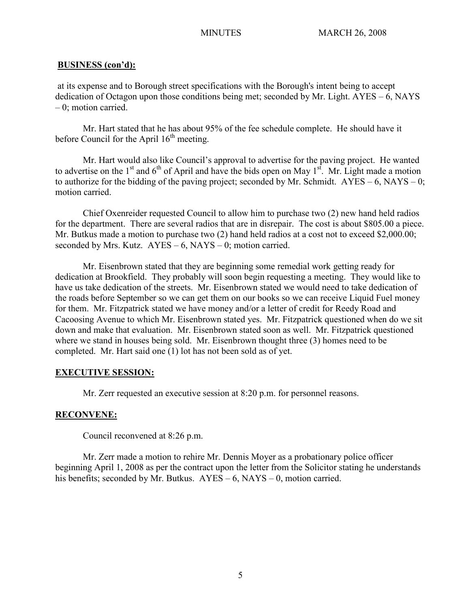at its expense and to Borough street specifications with the Borough's intent being to accept dedication of Octagon upon those conditions being met; seconded by Mr. Light. AYES – 6, NAYS – 0; motion carried.

Mr. Hart stated that he has about 95% of the fee schedule complete. He should have it before Council for the April  $16<sup>th</sup>$  meeting.

Mr. Hart would also like Council's approval to advertise for the paving project. He wanted to advertise on the  $1<sup>st</sup>$  and  $6<sup>th</sup>$  of April and have the bids open on May  $1<sup>st</sup>$ . Mr. Light made a motion to authorize for the bidding of the paving project; seconded by Mr. Schmidt.  $AYES - 6$ ,  $NAYS - 0$ ; motion carried.

Chief Oxenreider requested Council to allow him to purchase two (2) new hand held radios for the department. There are several radios that are in disrepair. The cost is about \$805.00 a piece. Mr. Butkus made a motion to purchase two (2) hand held radios at a cost not to exceed \$2,000.00; seconded by Mrs. Kutz.  $AYES - 6$ , NAYS – 0; motion carried.

Mr. Eisenbrown stated that they are beginning some remedial work getting ready for dedication at Brookfield. They probably will soon begin requesting a meeting. They would like to have us take dedication of the streets. Mr. Eisenbrown stated we would need to take dedication of the roads before September so we can get them on our books so we can receive Liquid Fuel money for them. Mr. Fitzpatrick stated we have money and/or a letter of credit for Reedy Road and Cacoosing Avenue to which Mr. Eisenbrown stated yes. Mr. Fitzpatrick questioned when do we sit down and make that evaluation. Mr. Eisenbrown stated soon as well. Mr. Fitzpatrick questioned where we stand in houses being sold. Mr. Eisenbrown thought three (3) homes need to be completed. Mr. Hart said one (1) lot has not been sold as of yet.

## **EXECUTIVE SESSION:**

Mr. Zerr requested an executive session at 8:20 p.m. for personnel reasons.

## **RECONVENE:**

Council reconvened at 8:26 p.m.

Mr. Zerr made a motion to rehire Mr. Dennis Moyer as a probationary police officer beginning April 1, 2008 as per the contract upon the letter from the Solicitor stating he understands his benefits; seconded by Mr. Butkus. AYES – 6, NAYS – 0, motion carried.